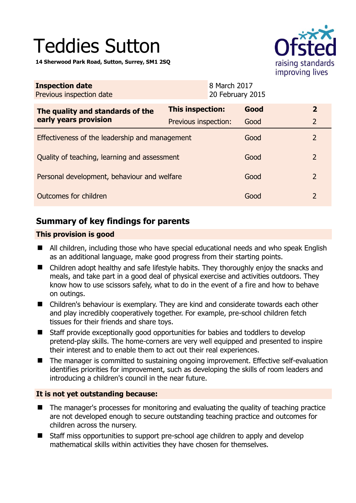# Teddies Sutton

**14 Sherwood Park Road, Sutton, Surrey, SM1 2SQ** 



| <b>Inspection date</b><br>Previous inspection date        |                      | 8 March 2017<br>20 February 2015 |      |                |
|-----------------------------------------------------------|----------------------|----------------------------------|------|----------------|
| The quality and standards of the<br>early years provision | This inspection:     |                                  | Good | $\mathbf{2}$   |
|                                                           | Previous inspection: |                                  | Good | $\overline{2}$ |
| Effectiveness of the leadership and management            |                      |                                  | Good | $\mathcal{P}$  |
| Quality of teaching, learning and assessment              |                      |                                  | Good | 2              |
| Personal development, behaviour and welfare               |                      |                                  | Good | $\mathcal{L}$  |
| Outcomes for children                                     |                      |                                  | Good | $\mathcal{P}$  |

# **Summary of key findings for parents**

## **This provision is good**

- All children, including those who have special educational needs and who speak English as an additional language, make good progress from their starting points.
- Children adopt healthy and safe lifestyle habits. They thoroughly enjoy the snacks and meals, and take part in a good deal of physical exercise and activities outdoors. They know how to use scissors safely, what to do in the event of a fire and how to behave on outings.
- Children's behaviour is exemplary. They are kind and considerate towards each other and play incredibly cooperatively together. For example, pre-school children fetch tissues for their friends and share toys.
- Staff provide exceptionally good opportunities for babies and toddlers to develop pretend-play skills. The home-corners are very well equipped and presented to inspire their interest and to enable them to act out their real experiences.
- The manager is committed to sustaining ongoing improvement. Effective self-evaluation identifies priorities for improvement, such as developing the skills of room leaders and introducing a children's council in the near future.

## **It is not yet outstanding because:**

- The manager's processes for monitoring and evaluating the quality of teaching practice are not developed enough to secure outstanding teaching practice and outcomes for children across the nursery.
- Staff miss opportunities to support pre-school age children to apply and develop mathematical skills within activities they have chosen for themselves.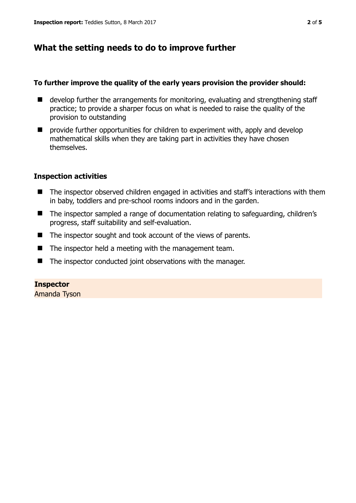# **What the setting needs to do to improve further**

#### **To further improve the quality of the early years provision the provider should:**

- develop further the arrangements for monitoring, evaluating and strengthening staff practice; to provide a sharper focus on what is needed to raise the quality of the provision to outstanding
- **P** provide further opportunities for children to experiment with, apply and develop mathematical skills when they are taking part in activities they have chosen themselves.

## **Inspection activities**

- The inspector observed children engaged in activities and staff's interactions with them in baby, toddlers and pre-school rooms indoors and in the garden.
- The inspector sampled a range of documentation relating to safeguarding, children's progress, staff suitability and self-evaluation.
- The inspector sought and took account of the views of parents.
- $\blacksquare$  The inspector held a meeting with the management team.
- The inspector conducted joint observations with the manager.

#### **Inspector**

Amanda Tyson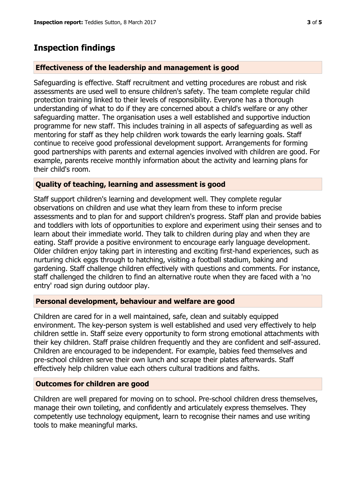# **Inspection findings**

## **Effectiveness of the leadership and management is good**

Safeguarding is effective. Staff recruitment and vetting procedures are robust and risk assessments are used well to ensure children's safety. The team complete regular child protection training linked to their levels of responsibility. Everyone has a thorough understanding of what to do if they are concerned about a child's welfare or any other safeguarding matter. The organisation uses a well established and supportive induction programme for new staff. This includes training in all aspects of safeguarding as well as mentoring for staff as they help children work towards the early learning goals. Staff continue to receive good professional development support. Arrangements for forming good partnerships with parents and external agencies involved with children are good. For example, parents receive monthly information about the activity and learning plans for their child's room.

## **Quality of teaching, learning and assessment is good**

Staff support children's learning and development well. They complete regular observations on children and use what they learn from these to inform precise assessments and to plan for and support children's progress. Staff plan and provide babies and toddlers with lots of opportunities to explore and experiment using their senses and to learn about their immediate world. They talk to children during play and when they are eating. Staff provide a positive environment to encourage early language development. Older children enjoy taking part in interesting and exciting first-hand experiences, such as nurturing chick eggs through to hatching, visiting a football stadium, baking and gardening. Staff challenge children effectively with questions and comments. For instance, staff challenged the children to find an alternative route when they are faced with a 'no entry' road sign during outdoor play.

#### **Personal development, behaviour and welfare are good**

Children are cared for in a well maintained, safe, clean and suitably equipped environment. The key-person system is well established and used very effectively to help children settle in. Staff seize every opportunity to form strong emotional attachments with their key children. Staff praise children frequently and they are confident and self-assured. Children are encouraged to be independent. For example, babies feed themselves and pre-school children serve their own lunch and scrape their plates afterwards. Staff effectively help children value each others cultural traditions and faiths.

#### **Outcomes for children are good**

Children are well prepared for moving on to school. Pre-school children dress themselves, manage their own toileting, and confidently and articulately express themselves. They competently use technology equipment, learn to recognise their names and use writing tools to make meaningful marks.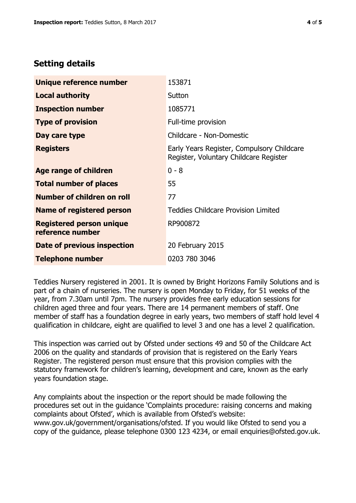# **Setting details**

| Unique reference number                             | 153871                                                                               |  |
|-----------------------------------------------------|--------------------------------------------------------------------------------------|--|
| <b>Local authority</b>                              | Sutton                                                                               |  |
| <b>Inspection number</b>                            | 1085771                                                                              |  |
| <b>Type of provision</b>                            | Full-time provision                                                                  |  |
| Day care type                                       | Childcare - Non-Domestic                                                             |  |
| <b>Registers</b>                                    | Early Years Register, Compulsory Childcare<br>Register, Voluntary Childcare Register |  |
| Age range of children                               | $0 - 8$                                                                              |  |
| <b>Total number of places</b>                       | 55                                                                                   |  |
| Number of children on roll                          | 77                                                                                   |  |
| Name of registered person                           | <b>Teddies Childcare Provision Limited</b>                                           |  |
| <b>Registered person unique</b><br>reference number | RP900872                                                                             |  |
| Date of previous inspection                         | 20 February 2015                                                                     |  |
| <b>Telephone number</b>                             | 0203 780 3046                                                                        |  |

Teddies Nursery registered in 2001. It is owned by Bright Horizons Family Solutions and is part of a chain of nurseries. The nursery is open Monday to Friday, for 51 weeks of the year, from 7.30am until 7pm. The nursery provides free early education sessions for children aged three and four years. There are 14 permanent members of staff. One member of staff has a foundation degree in early years, two members of staff hold level 4 qualification in childcare, eight are qualified to level 3 and one has a level 2 qualification.

This inspection was carried out by Ofsted under sections 49 and 50 of the Childcare Act 2006 on the quality and standards of provision that is registered on the Early Years Register. The registered person must ensure that this provision complies with the statutory framework for children's learning, development and care, known as the early years foundation stage.

Any complaints about the inspection or the report should be made following the procedures set out in the guidance 'Complaints procedure: raising concerns and making complaints about Ofsted', which is available from Ofsted's website: www.gov.uk/government/organisations/ofsted. If you would like Ofsted to send you a copy of the guidance, please telephone 0300 123 4234, or email enquiries@ofsted.gov.uk.